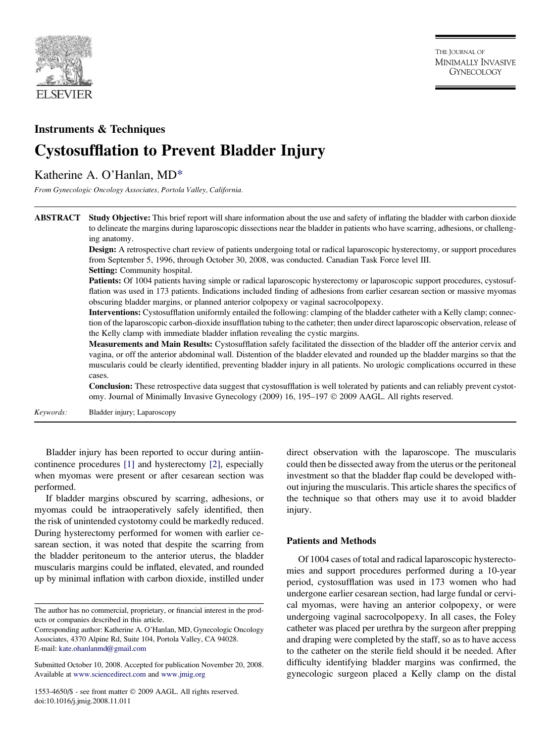

THE JOURNAL OF **MINIMALLY INVASIVE** GYNECOLOGY

# Instruments & Techniques Cystosufflation to Prevent Bladder Injury

## Katherine A. O'Hanlan, MD\*

From Gynecologic Oncology Associates, Portola Valley, California.

ABSTRACT Study Objective: This brief report will share information about the use and safety of inflating the bladder with carbon dioxide to delineate the margins during laparoscopic dissections near the bladder in patients who have scarring, adhesions, or challenging anatomy.

> Design: A retrospective chart review of patients undergoing total or radical laparoscopic hysterectomy, or support procedures from September 5, 1996, through October 30, 2008, was conducted. Canadian Task Force level III.

Setting: Community hospital.

Patients: Of 1004 patients having simple or radical laparoscopic hysterectomy or laparoscopic support procedures, cystosufflation was used in 173 patients. Indications included finding of adhesions from earlier cesarean section or massive myomas obscuring bladder margins, or planned anterior colpopexy or vaginal sacrocolpopexy.

Interventions: Cystosufflation uniformly entailed the following: clamping of the bladder catheter with a Kelly clamp; connection of the laparoscopic carbon-dioxide insufflation tubing to the catheter; then under direct laparoscopic observation, release of the Kelly clamp with immediate bladder inflation revealing the cystic margins.

Measurements and Main Results: Cystosufflation safely facilitated the dissection of the bladder off the anterior cervix and vagina, or off the anterior abdominal wall. Distention of the bladder elevated and rounded up the bladder margins so that the muscularis could be clearly identified, preventing bladder injury in all patients. No urologic complications occurred in these cases.

Conclusion: These retrospective data suggest that cystosufflation is well tolerated by patients and can reliably prevent cystotomy. Journal of Minimally Invasive Gynecology (2009) 16, 195-197 © 2009 AAGL. All rights reserved.

Keywords: Bladder injury; Laparoscopy

Bladder injury has been reported to occur during antiincontinence procedures [\[1\]](#page-2-0) and hysterectomy [\[2\],](#page-2-0) especially when myomas were present or after cesarean section was performed.

If bladder margins obscured by scarring, adhesions, or myomas could be intraoperatively safely identified, then the risk of unintended cystotomy could be markedly reduced. During hysterectomy performed for women with earlier cesarean section, it was noted that despite the scarring from the bladder peritoneum to the anterior uterus, the bladder muscularis margins could be inflated, elevated, and rounded up by minimal inflation with carbon dioxide, instilled under

1553-4650/\$ - see front matter © 2009 AAGL. All rights reserved. doi:10.1016/j.jmig.2008.11.011

direct observation with the laparoscope. The muscularis could then be dissected away from the uterus or the peritoneal investment so that the bladder flap could be developed without injuring the muscularis. This article shares the specifics of the technique so that others may use it to avoid bladder injury.

### Patients and Methods

Of 1004 cases of total and radical laparoscopic hysterectomies and support procedures performed during a 10-year period, cystosufflation was used in 173 women who had undergone earlier cesarean section, had large fundal or cervical myomas, were having an anterior colpopexy, or were undergoing vaginal sacrocolpopexy. In all cases, the Foley catheter was placed per urethra by the surgeon after prepping and draping were completed by the staff, so as to have access to the catheter on the sterile field should it be needed. After difficulty identifying bladder margins was confirmed, the gynecologic surgeon placed a Kelly clamp on the distal

The author has no commercial, proprietary, or financial interest in the products or companies described in this article.

Corresponding author: Katherine A. O'Hanlan, MD, Gynecologic Oncology Associates, 4370 Alpine Rd, Suite 104, Portola Valley, CA 94028. E-mail: [kate.ohanlanmd@gmail.com](mailto:kate.ohanlanmd@gmail.com)

Submitted October 10, 2008. Accepted for publication November 20, 2008. Available at [www.sciencedirect.com](http://www.sciencedirect.com) and [www.jmig.org](http://www.jmig.org)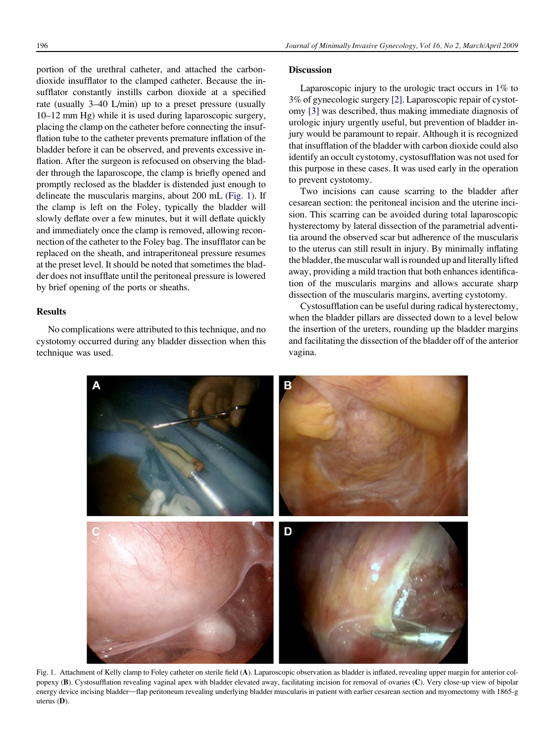portion of the urethral catheter, and attached the carbondioxide insufflator to the clamped catheter. Because the insufflator constantly instills carbon dioxide at a specified rate (usually 3–40 L/min) up to a preset pressure (usually 10–12 mm Hg) while it is used during laparoscopic surgery, placing the clamp on the catheter before connecting the insufflation tube to the catheter prevents premature inflation of the bladder before it can be observed, and prevents excessive inflation. After the surgeon is refocused on observing the bladder through the laparoscope, the clamp is briefly opened and promptly reclosed as the bladder is distended just enough to delineate the muscularis margins, about 200 mL (Fig. 1). If the clamp is left on the Foley, typically the bladder will slowly deflate over a few minutes, but it will deflate quickly and immediately once the clamp is removed, allowing reconnection of the catheter to the Foley bag. The insufflator can be replaced on the sheath, and intraperitoneal pressure resumes at the preset level. It should be noted that sometimes the bladder does not insufflate until the peritoneal pressure is lowered by brief opening of the ports or sheaths.

#### Results

No complications were attributed to this technique, and no cystotomy occurred during any bladder dissection when this technique was used.

#### **Discussion**

Laparoscopic injury to the urologic tract occurs in 1% to 3% of gynecologic surgery [\[2\]](#page-2-0). Laparoscopic repair of cystotomy [\[3\]](#page-2-0) was described, thus making immediate diagnosis of urologic injury urgently useful, but prevention of bladder injury would be paramount to repair. Although it is recognized that insufflation of the bladder with carbon dioxide could also identify an occult cystotomy, cystosufflation was not used for this purpose in these cases. It was used early in the operation to prevent cystotomy.

Two incisions can cause scarring to the bladder after cesarean section: the peritoneal incision and the uterine incision. This scarring can be avoided during total laparoscopic hysterectomy by lateral dissection of the parametrial adventitia around the observed scar but adherence of the muscularis to the uterus can still result in injury. By minimally inflating the bladder, the muscular wall is rounded up and literally lifted away, providing a mild traction that both enhances identification of the muscularis margins and allows accurate sharp dissection of the muscularis margins, averting cystotomy.

Cystosufflation can be useful during radical hysterectomy, when the bladder pillars are dissected down to a level below the insertion of the ureters, rounding up the bladder margins and facilitating the dissection of the bladder off of the anterior vagina.



Fig. 1. Attachment of Kelly clamp to Foley catheter on sterile field (A). Laparoscopic observation as bladder is inflated, revealing upper margin for anterior colpopexy (B). Cystosufflation revealing vaginal apex with bladder elevated away, facilitating incision for removal of ovaries (C). Very close-up view of bipolar energy device incising bladder—flap peritoneum revealing underlying bladder muscularis in patient with earlier cesarean section and myomectomy with 1865-g uterus (D).